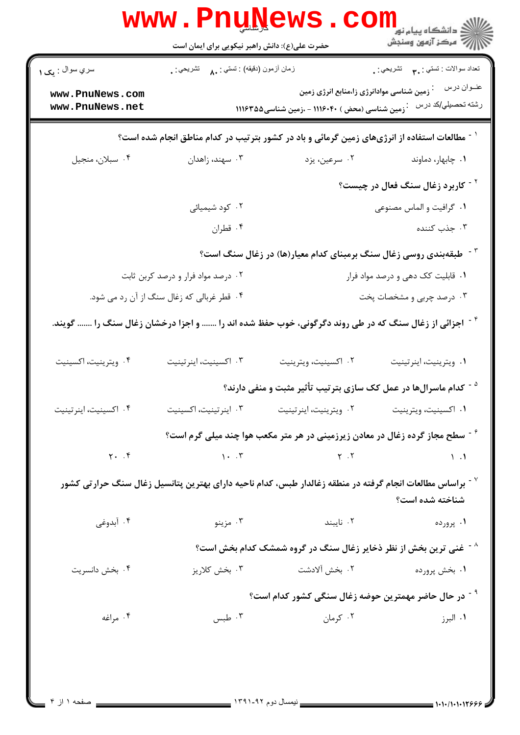| تعداد سوالات : تستي : پم       تشريحي : .    |                                                                                                                                 | زمان أزمون (دقيقه) : تستي : ٨٠     تشريحي : . | سري سوال : يک ۱                    |
|----------------------------------------------|---------------------------------------------------------------------------------------------------------------------------------|-----------------------------------------------|------------------------------------|
| عنــوان درس<br>رشته تحصيلي/كد درس            | زمین شناسی موادانرژی زا،منابع انرژی زمین<br><sup>:</sup> زمین شناسی (محض ) ۱۱۱۶۰۴۰ – ،زمین شناسی۱۱۱۶۳۵۵                         |                                               | www.PnuNews.com<br>www.PnuNews.net |
|                                              | <sup>۱ -</sup> مطالعات استفاده از انرژیهای زمین گرمائی و باد در کشور بترتیب در کدام مناطق انجام شده است؟                        |                                               |                                    |
| ۰۱ چابهار، دماوند                            | ۰۲ سرعین، یزد                                                                                                                   | ۰۳ سهند، زاهدان                               | ۰۴ سبلان، منجيل                    |
| <sup>۲ -</sup> کاربرد زغال سنگ فعال در چیست؟ |                                                                                                                                 |                                               |                                    |
| ۰۱ گرافیت و الماس مصنوعی                     |                                                                                                                                 | ۰۲ کود شیمیائی                                |                                    |
| ۰۳ جذب کننده                                 |                                                                                                                                 | ۰۴ قطران                                      |                                    |
|                                              | <sup>۲۰-</sup> طبقهبندی روسی زغال سنگ برمبنای کدام معیار(ها) در زغال سنگ است؟                                                   |                                               |                                    |
| ۰۱ قابلیت کک دهی و درصد مواد فرار            |                                                                                                                                 | ۰۲ درصد مواد فرار و درصد کربن ثابت            |                                    |
| ۰۳ درصد چربی و مشخصات پخت                    |                                                                                                                                 | ۰۴ قطر غربالی که زغال سنگ از آن رد می شود.    |                                    |
|                                              | <sup>۰۴</sup> اجزائی از زغال سنگ که در طی روند دگرگونی، خوب حفظ شده اند را  و اجزا درخشان زغال سنگ را  گویند.                   |                                               |                                    |
| ٠١ ويترينيت، اينرتينيت                       | ۰۲ اکسینیت، ویترینیت                                                                                                            | ۰۳ اکسینیت، اینرتینیت                         | ۰۴ ويترينيت، اكسينيت               |
|                                              | <sup>۵ -</sup> کدام ماسرالها در عمل کک سازی بترتیب تأثیر مثبت و منفی دارند؟                                                     |                                               |                                    |
| ۰۱ اکسینیت، ویترینیت                         | ٠٢ ويترينيت، اينرتينيت                                                                                                          | ٠٣ اينرتينيت، اكسينيت                         | ۰۴ اکسینیت، اینر تینیت             |
|                                              | <sup>۶</sup> <sup>-</sup> سطح مجاز گرده زغال در معادن زیرزمینی در هر متر مکعب هوا چند میلی گرم است؟                             |                                               |                                    |
| $\setminus \cdot$                            | $Y \cdot Y$                                                                                                                     | $\lambda \cdot \cdot \cdot$                   | $Y.$ $Y$                           |
| شناخته شده است؟                              | <sup>7</sup> <sup>-</sup> براساس مطالعات انجام گرفته در منطقه زغالدار طبس، کدام ناحیه دارای بهترین پتانسیل زغال سنگ حرارتی کشور |                                               |                                    |
| ۰۱ پرورده                                    | ۰۲ نایبند                                                                                                                       | ۰۳ مزينو                                      | ۰۴ آبدوغی                          |
|                                              | خنی ترین بخش از نظر ذخایر زغال سنگ در گروه شمشک کدام بخش است؟ $^{\wedge}$                                                       |                                               |                                    |
| ۰۱ بخش پرورده                                | ٢. بخش آلادشت                                                                                                                   | ۰۳ بخش کلاریز                                 | ۰۴ بخش دانسریت                     |
|                                              | <sup>۹ -</sup> در حال حاضر مهمترین حوضه زغال سنگی کشور کدام است؟                                                                |                                               |                                    |
|                                              | ۰۲ کرمان                                                                                                                        | ۰۳ طبس                                        | ۰۴ مراغه                           |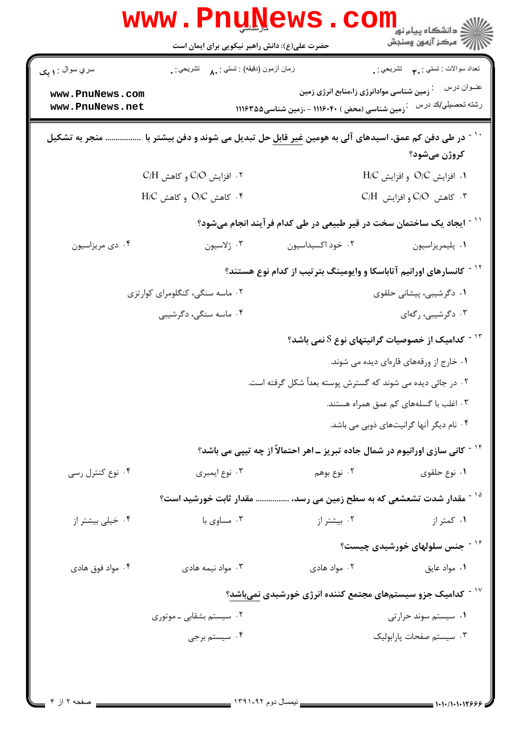| زمان أزمون (دقيقه) : تستى : ٨٠     تشريحي : .<br>تعداد سوالات : تستبي : ٩٠ - تشريحي : .<br>سري سوال : ۱ يک<br>زمین شناسی موادانرژی زا،منابع انرژی زمین<br>www.PnuNews.com<br>www.PnuNews.net<br>۰ زمین شناسی (محض ) ۱۱۱۶۰۴۰ - ،زمین شناسی۱۱۱۶۳۵۵<br>ً ` ` در طی دفن کم عمق، اسیدهای آلی به هومین <u>غیر قابل</u> حل تبدیل می شوند و دفن بیشتر با<br>منجر به تشکیل<br>کروژن میشود؟<br>$C/H$ . افزایش C/O و کاهش<br>$H/C$ . افزايش O/C و افزايش $H/C$<br>$H/C$ و كاهش O/C و كاهش H/C<br>۰۳ کاهش C/O و افزايش C/H<br><sup>۱۱ -</sup> ایجاد یک ساختمان سخت در قیر طبیعی در طی کدام فرآیند انجام میشود؟<br>۰۴ دي مريزاسيون<br>۰۳ ژلاسيون<br>۰۲ خود اکسیداسیون<br>٠١. پليمريزاسيون<br><sup>۱۲ -</sup> کانسارهای اورانیم آتاباسکا و وایومینگ بترتیب از کدام نوع هستند؟<br>۰۱ دگرشیبی، پیشانی حلقوی<br>۰۲ ماسه سنگی، کنگلومرای کوارتزی<br>۰۳ دگرشیبی، رگهای<br>۰۴ ماسه سنگی، دگرشیبی<br>$^{\circ}$ لا - کدامیک از خصوصیات گرانیتهای نوع S نمی باشد $^{\circ}$<br>۰۱ خارج از ورقههای قارهای دیده می شوند.<br>۰۲ در جائی دیده می شوند که گسترش پوسته بعداً شکل گرفته است.<br>۰۳ اغلب با گسلههای کم عمق همراه هستند.<br>۰۴ نام دیگر آنها گرانیتهای ذوبی می باشد.<br><sup>۱۴ -</sup> کانی سازی اورانیوم در شمال جاده تبریز ـ اهر احتمالاً از چه تیپی می باشد؟<br>۰۲ نوع بوهم<br>۰۱ نوع حلقوی<br>۰۴ نوع کنترل رسی<br>۰۳ نوع ايمبري<br><sup>۱۵ -</sup> مقدار شدت تشعشعی که به سطح زمین می رسد،  مقدار ثابت خورشید است؟<br>۰۱ کمتر از<br>۰۳ مساوی با<br>۰۲ بیشتر از<br>۰۴ خیلی بیشتر از<br><sup>۱۶ -</sup> جنس سلولهای خورشیدی چیست؟<br>۰۲ مواد هادی<br>٠١ مواد عايق<br>۰۴ مواد فوق هادی<br>۰۳ مواد نیمه هادی<br>۱ <sup>۷ -</sup> کدامیک جزو سیستمهای مجتمع کننده انرژی خورشیدی <u>نمیباشد</u> ؟<br>۰۲ سیستم بشقابی ـ موتوری<br>۰۱ سیستم سوند حرارتی |               | Www.Pnunews.com |                                   |  |
|---------------------------------------------------------------------------------------------------------------------------------------------------------------------------------------------------------------------------------------------------------------------------------------------------------------------------------------------------------------------------------------------------------------------------------------------------------------------------------------------------------------------------------------------------------------------------------------------------------------------------------------------------------------------------------------------------------------------------------------------------------------------------------------------------------------------------------------------------------------------------------------------------------------------------------------------------------------------------------------------------------------------------------------------------------------------------------------------------------------------------------------------------------------------------------------------------------------------------------------------------------------------------------------------------------------------------------------------------------------------------------------------------------------------------------------------------------------------------------------------------------------------------------------------------------------------------------------------------------------------------------------------------------------------------------------------------------------------------------------|---------------|-----------------|-----------------------------------|--|
|                                                                                                                                                                                                                                                                                                                                                                                                                                                                                                                                                                                                                                                                                                                                                                                                                                                                                                                                                                                                                                                                                                                                                                                                                                                                                                                                                                                                                                                                                                                                                                                                                                                                                                                                       |               |                 |                                   |  |
|                                                                                                                                                                                                                                                                                                                                                                                                                                                                                                                                                                                                                                                                                                                                                                                                                                                                                                                                                                                                                                                                                                                                                                                                                                                                                                                                                                                                                                                                                                                                                                                                                                                                                                                                       |               |                 | عنــوان درس<br>رشته تحصيلي/كد درس |  |
|                                                                                                                                                                                                                                                                                                                                                                                                                                                                                                                                                                                                                                                                                                                                                                                                                                                                                                                                                                                                                                                                                                                                                                                                                                                                                                                                                                                                                                                                                                                                                                                                                                                                                                                                       |               |                 |                                   |  |
|                                                                                                                                                                                                                                                                                                                                                                                                                                                                                                                                                                                                                                                                                                                                                                                                                                                                                                                                                                                                                                                                                                                                                                                                                                                                                                                                                                                                                                                                                                                                                                                                                                                                                                                                       |               |                 |                                   |  |
|                                                                                                                                                                                                                                                                                                                                                                                                                                                                                                                                                                                                                                                                                                                                                                                                                                                                                                                                                                                                                                                                                                                                                                                                                                                                                                                                                                                                                                                                                                                                                                                                                                                                                                                                       |               |                 |                                   |  |
|                                                                                                                                                                                                                                                                                                                                                                                                                                                                                                                                                                                                                                                                                                                                                                                                                                                                                                                                                                                                                                                                                                                                                                                                                                                                                                                                                                                                                                                                                                                                                                                                                                                                                                                                       |               |                 |                                   |  |
|                                                                                                                                                                                                                                                                                                                                                                                                                                                                                                                                                                                                                                                                                                                                                                                                                                                                                                                                                                                                                                                                                                                                                                                                                                                                                                                                                                                                                                                                                                                                                                                                                                                                                                                                       |               |                 |                                   |  |
|                                                                                                                                                                                                                                                                                                                                                                                                                                                                                                                                                                                                                                                                                                                                                                                                                                                                                                                                                                                                                                                                                                                                                                                                                                                                                                                                                                                                                                                                                                                                                                                                                                                                                                                                       |               |                 |                                   |  |
|                                                                                                                                                                                                                                                                                                                                                                                                                                                                                                                                                                                                                                                                                                                                                                                                                                                                                                                                                                                                                                                                                                                                                                                                                                                                                                                                                                                                                                                                                                                                                                                                                                                                                                                                       |               |                 |                                   |  |
|                                                                                                                                                                                                                                                                                                                                                                                                                                                                                                                                                                                                                                                                                                                                                                                                                                                                                                                                                                                                                                                                                                                                                                                                                                                                                                                                                                                                                                                                                                                                                                                                                                                                                                                                       |               |                 |                                   |  |
|                                                                                                                                                                                                                                                                                                                                                                                                                                                                                                                                                                                                                                                                                                                                                                                                                                                                                                                                                                                                                                                                                                                                                                                                                                                                                                                                                                                                                                                                                                                                                                                                                                                                                                                                       |               |                 |                                   |  |
|                                                                                                                                                                                                                                                                                                                                                                                                                                                                                                                                                                                                                                                                                                                                                                                                                                                                                                                                                                                                                                                                                                                                                                                                                                                                                                                                                                                                                                                                                                                                                                                                                                                                                                                                       |               |                 |                                   |  |
|                                                                                                                                                                                                                                                                                                                                                                                                                                                                                                                                                                                                                                                                                                                                                                                                                                                                                                                                                                                                                                                                                                                                                                                                                                                                                                                                                                                                                                                                                                                                                                                                                                                                                                                                       |               |                 |                                   |  |
|                                                                                                                                                                                                                                                                                                                                                                                                                                                                                                                                                                                                                                                                                                                                                                                                                                                                                                                                                                                                                                                                                                                                                                                                                                                                                                                                                                                                                                                                                                                                                                                                                                                                                                                                       |               |                 |                                   |  |
|                                                                                                                                                                                                                                                                                                                                                                                                                                                                                                                                                                                                                                                                                                                                                                                                                                                                                                                                                                                                                                                                                                                                                                                                                                                                                                                                                                                                                                                                                                                                                                                                                                                                                                                                       |               |                 |                                   |  |
|                                                                                                                                                                                                                                                                                                                                                                                                                                                                                                                                                                                                                                                                                                                                                                                                                                                                                                                                                                                                                                                                                                                                                                                                                                                                                                                                                                                                                                                                                                                                                                                                                                                                                                                                       |               |                 |                                   |  |
|                                                                                                                                                                                                                                                                                                                                                                                                                                                                                                                                                                                                                                                                                                                                                                                                                                                                                                                                                                                                                                                                                                                                                                                                                                                                                                                                                                                                                                                                                                                                                                                                                                                                                                                                       |               |                 |                                   |  |
|                                                                                                                                                                                                                                                                                                                                                                                                                                                                                                                                                                                                                                                                                                                                                                                                                                                                                                                                                                                                                                                                                                                                                                                                                                                                                                                                                                                                                                                                                                                                                                                                                                                                                                                                       |               |                 |                                   |  |
|                                                                                                                                                                                                                                                                                                                                                                                                                                                                                                                                                                                                                                                                                                                                                                                                                                                                                                                                                                                                                                                                                                                                                                                                                                                                                                                                                                                                                                                                                                                                                                                                                                                                                                                                       |               |                 |                                   |  |
|                                                                                                                                                                                                                                                                                                                                                                                                                                                                                                                                                                                                                                                                                                                                                                                                                                                                                                                                                                                                                                                                                                                                                                                                                                                                                                                                                                                                                                                                                                                                                                                                                                                                                                                                       |               |                 |                                   |  |
|                                                                                                                                                                                                                                                                                                                                                                                                                                                                                                                                                                                                                                                                                                                                                                                                                                                                                                                                                                                                                                                                                                                                                                                                                                                                                                                                                                                                                                                                                                                                                                                                                                                                                                                                       |               |                 |                                   |  |
|                                                                                                                                                                                                                                                                                                                                                                                                                                                                                                                                                                                                                                                                                                                                                                                                                                                                                                                                                                                                                                                                                                                                                                                                                                                                                                                                                                                                                                                                                                                                                                                                                                                                                                                                       |               |                 |                                   |  |
|                                                                                                                                                                                                                                                                                                                                                                                                                                                                                                                                                                                                                                                                                                                                                                                                                                                                                                                                                                                                                                                                                                                                                                                                                                                                                                                                                                                                                                                                                                                                                                                                                                                                                                                                       |               |                 |                                   |  |
|                                                                                                                                                                                                                                                                                                                                                                                                                                                                                                                                                                                                                                                                                                                                                                                                                                                                                                                                                                                                                                                                                                                                                                                                                                                                                                                                                                                                                                                                                                                                                                                                                                                                                                                                       | ۰۴ سیستم برجی |                 | ۰۳ سیستم صفحات یارابولیک          |  |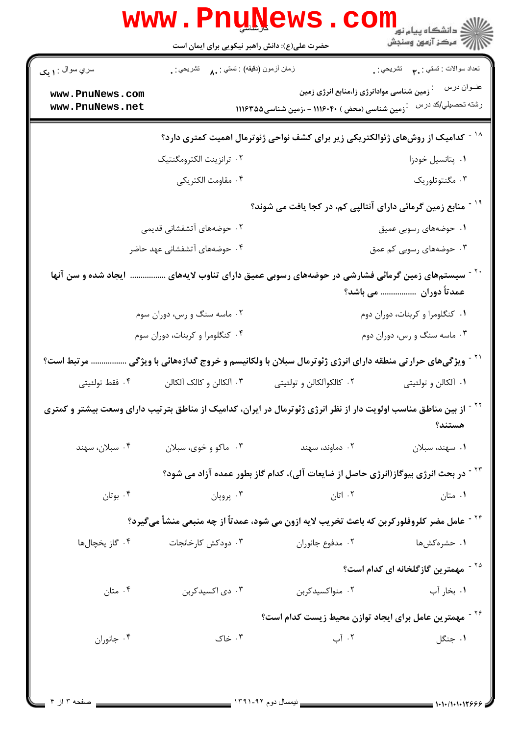|                                    |                                               | <b>WWW.PNUNEWS.COLLE SERVIT AND READER</b>                                                                    |                                                      |
|------------------------------------|-----------------------------------------------|---------------------------------------------------------------------------------------------------------------|------------------------------------------------------|
| سري سوال : <b>۱ يک</b>             | زمان أزمون (دقيقه) : تستى : ٨٠     تشريحي : . |                                                                                                               | تعداد سوالات : تستي : پم       تشريحي : <sub>.</sub> |
| www.PnuNews.com<br>www.PnuNews.net |                                               | زمین شناسی موادانرژی زا،منابع انرژی زمین<br>.<br>وسین شناسی (محض ) ۱۱۱۶۰۴۰ – ،زمین شناسی ۱۱۱۶۳۵۵ $\cdot$      | عنــوان درس<br>رشته تحصيلي/كد درس                    |
|                                    |                                               | <sup>۱۸ -</sup> کدامیک از روشهای ژئوالکتریکی زیر برای کشف نواحی ژئوترمال اهمیت کمتری دارد؟                    |                                                      |
|                                    | ۰۲ ترانزينت الكترومگنتيک                      |                                                                                                               | ٠١. پتانسيل خودزا                                    |
|                                    | ۰۴ مقاومت الكتريكي                            |                                                                                                               | ۰۳ مگنتوتلوریک                                       |
|                                    |                                               | <sup>۱۹ -</sup> منابع زمین گرمائی دارای آنتالپی کم، در کجا یافت می شوند؟                                      |                                                      |
|                                    | ۲. حوضههای آتشفشانی قدیمی                     |                                                                                                               | ۰۱ حوضههای رسوبی عمیق                                |
|                                    | ۰۴ حوضههای آتشفشانی عهد حاضر                  |                                                                                                               | ۰۳ حوضههای رسوبی کم عمق                              |
| ایجاد شده و سن آنها                |                                               | <sup>۲۰ -</sup> سیستمهای زمین گرمائی فشارشی در حوضههای رسوبی عمیق دارای تناوب لایههای                         | عمدتاً دوران  می باشد؟                               |
|                                    | ۰۲ ماسه سنگ و رس، دوران سوم                   | ٠١ كنگلومرا و كربنات، دوران دوم                                                                               |                                                      |
| ۰۴ کنگلومرا و کربنات، دوران سوم    |                                               | ۰۳ ماسه سنگ و رس، دوران دوم                                                                                   |                                                      |
| مرتبط است؟                         |                                               | <sup>۲۱ -</sup> ویژگیهای حرارتی منطقه دارای انرژی ژئوترمال سبلان با ولکانیسم و خروج گدازههائی با ویژگی        |                                                      |
| ۰۴ فقط تولئيتي                     | ۰۳ آلکالن و کالک آلکالن                       | ۰۲ کالکوآلکالن و تولئیتی                                                                                      | ۰۱ آلکالن و تولئیتی                                  |
|                                    |                                               | از بین مناطق مناسب اولویت دار از نظر انرژی ژئوترمال در ایران، کدامیک از مناطق بترتیب دارای وسعت بیشتر و کمتری | هستند؟                                               |
| ۰۴ سبلان، سهند                     | ۰۳ ماکو و خوی، سبلان                          | ۰۲ دماوند، سهند                                                                                               | ۰۱ سهند، سبلان                                       |
|                                    |                                               | <sup>۲۳ -</sup> در بحث انرژی بیوگاز(انرژی حاصل از ضایعات آلی)، کدام گاز بطور عمده آزاد می شود؟                |                                                      |
| ۰۴ بوتان                           | ۰۳ پروپان                                     | ۰۲ اتان                                                                                                       | ۰۱ متان                                              |
|                                    |                                               | <sup>۲۴ -</sup> عامل مضر کلروفلورکربن که باعث تخریب لایه ازون می شود، عمدتاً از چه منبعی منشأ میگیرد؟         |                                                      |
| ۰۴ گاز يخچالها                     | ۰۳ دودکش کارخانجات                            | ٠٢ مدفوع جانوران                                                                                              | ۰۱ حشرهکشها                                          |
|                                    |                                               |                                                                                                               | <sup>۲۵ -</sup> مهمترین گازگلخانه ای کدام است؟       |
| ۰۴ متان                            | ۰۳ دی اکسیدکربن                               | ۰۲ منواکسیدکربن                                                                                               | ۰۱ بخار آب                                           |
|                                    |                                               | <sup>۲۶ -</sup> مهمترین عامل برای ایجاد توازن محیط زیست کدام است؟                                             |                                                      |
| ۰۴ جانوران                         | ۰۳ خاک                                        | ۰۲ آب                                                                                                         | ۰۱ جنگل                                              |
|                                    |                                               |                                                                                                               |                                                      |